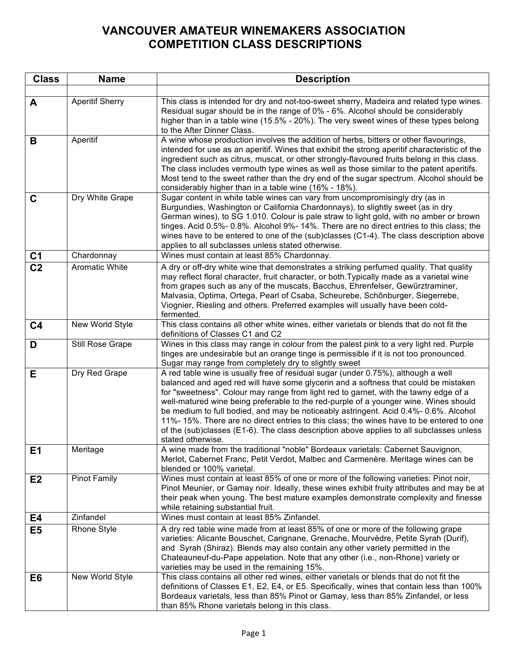## **VANCOUVER AMATEUR WINEMAKERS ASSOCIATION COMPETITION CLASS DESCRIPTIONS**

| <b>Class</b>   | <b>Name</b>            | <b>Description</b>                                                                                                                                                                                                                                                                                                                                                                                                                                                                                                                                                                                                                                          |
|----------------|------------------------|-------------------------------------------------------------------------------------------------------------------------------------------------------------------------------------------------------------------------------------------------------------------------------------------------------------------------------------------------------------------------------------------------------------------------------------------------------------------------------------------------------------------------------------------------------------------------------------------------------------------------------------------------------------|
|                |                        |                                                                                                                                                                                                                                                                                                                                                                                                                                                                                                                                                                                                                                                             |
| A              | <b>Aperitif Sherry</b> | This class is intended for dry and not-too-sweet sherry, Madeira and related type wines.<br>Residual sugar should be in the range of 0% - 6%. Alcohol should be considerably<br>higher than in a table wine (15.5% - 20%). The very sweet wines of these types belong<br>to the After Dinner Class.                                                                                                                                                                                                                                                                                                                                                         |
| B              | Aperitif               | A wine whose production involves the addition of herbs, bitters or other flavourings,<br>intended for use as an aperitif. Wines that exhibit the strong aperitif characteristic of the<br>ingredient such as citrus, muscat, or other strongly-flavoured fruits belong in this class.<br>The class includes vermouth type wines as well as those similar to the patent aperitifs.<br>Most tend to the sweet rather than the dry end of the sugar spectrum. Alcohol should be<br>considerably higher than in a table wine (16% - 18%).                                                                                                                       |
| $\mathbf C$    | Dry White Grape        | Sugar content in white table wines can vary from uncompromisingly dry (as in<br>Burgundies, Washington or California Chardonnays), to slightly sweet (as in dry<br>German wines), to SG 1.010. Colour is pale straw to light gold, with no amber or brown<br>tinges. Acid 0.5%- 0.8%. Alcohol 9%- 14%. There are no direct entries to this class; the<br>wines have to be entered to one of the (sub)classes (C1-4). The class description above<br>applies to all subclasses unless stated otherwise.                                                                                                                                                      |
| C <sub>1</sub> | Chardonnay             | Wines must contain at least 85% Chardonnay.                                                                                                                                                                                                                                                                                                                                                                                                                                                                                                                                                                                                                 |
| C <sub>2</sub> | <b>Aromatic White</b>  | A dry or off-dry white wine that demonstrates a striking perfumed quality. That quality<br>may reflect floral character, fruit character, or both. Typically made as a varietal wine<br>from grapes such as any of the muscats, Bacchus, Ehrenfelser, Gewürztraminer,<br>Malvasia, Optima, Ortega, Pearl of Csaba, Scheurebe, Schönburger, Siegerrebe,<br>Viognier, Riesling and others. Preferred examples will usually have been cold-<br>fermented.                                                                                                                                                                                                      |
| C <sub>4</sub> | New World Style        | This class contains all other white wines, either varietals or blends that do not fit the<br>definitions of Classes C1 and C2                                                                                                                                                                                                                                                                                                                                                                                                                                                                                                                               |
| D              | Still Rose Grape       | Wines in this class may range in colour from the palest pink to a very light red. Purple<br>tinges are undesirable but an orange tinge is permissible if it is not too pronounced.<br>Sugar may range from completely dry to slightly sweet                                                                                                                                                                                                                                                                                                                                                                                                                 |
| E              | Dry Red Grape          | A red table wine is usually free of residual sugar (under 0.75%), although a well<br>balanced and aged red will have some glycerin and a softness that could be mistaken<br>for "sweetness". Colour may range from light red to garnet, with the tawny edge of a<br>well-matured wine being preferable to the red-purple of a younger wine. Wines should<br>be medium to full bodied, and may be noticeably astringent. Acid 0.4%-0.6%. Alcohol<br>11%-15%. There are no direct entries to this class; the wines have to be entered to one<br>of the (sub)classes (E1-6). The class description above applies to all subclasses unless<br>stated otherwise. |
| E <sub>1</sub> | Meritage               | A wine made from the traditional "noble" Bordeaux varietals: Cabernet Sauvignon,<br>Merlot, Cabernet Franc, Petit Verdot, Malbec and Carmenère. Meritage wines can be<br>blended or 100% varietal.                                                                                                                                                                                                                                                                                                                                                                                                                                                          |
| E2             | <b>Pinot Family</b>    | Wines must contain at least 85% of one or more of the following varieties: Pinot noir,<br>Pinot Meunier, or Gamay noir. Ideally, these wines exhibit fruity attributes and may be at<br>their peak when young. The best mature examples demonstrate complexity and finesse<br>while retaining substantial fruit.                                                                                                                                                                                                                                                                                                                                            |
| E4             | Zinfandel              | Wines must contain at least 85% Zinfandel.                                                                                                                                                                                                                                                                                                                                                                                                                                                                                                                                                                                                                  |
| E <sub>5</sub> | <b>Rhone Style</b>     | A dry red table wine made from at least 85% of one or more of the following grape<br>varieties: Alicante Bouschet, Carignane, Grenache, Mourvèdre, Petite Syrah (Durif),<br>and Syrah (Shiraz). Blends may also contain any other variety permitted in the<br>Chateauneuf-du-Pape appelation. Note that any other (i.e., non-Rhone) variety or<br>varieties may be used in the remaining 15%.                                                                                                                                                                                                                                                               |
| E <sub>6</sub> | New World Style        | This class contains all other red wines, either varietals or blends that do not fit the<br>definitions of Classes E1, E2, E4, or E5. Specifically, wines that contain less than 100%<br>Bordeaux varietals, less than 85% Pinot or Gamay, less than 85% Zinfandel, or less<br>than 85% Rhone varietals belong in this class.                                                                                                                                                                                                                                                                                                                                |